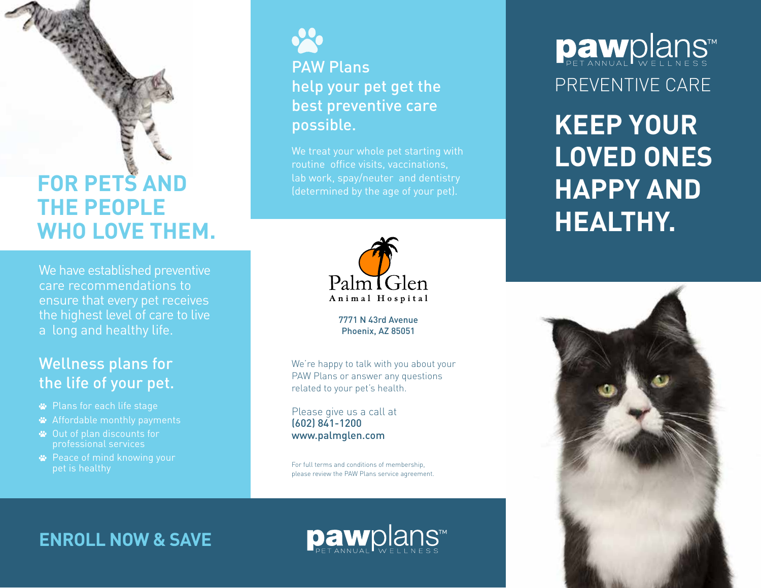# **FOR PETS AND THE PEOPLE WHO LOVE THEM.**

We have established preventive care recommendations to ensure that every pet receives the highest level of care to live a long and healthy life.

# Wellness plans for the life of your pet.

- Plans for each life stage
- Affordable monthly payments
- Out of plan discounts for professional services
- **<sup>■</sup>** Peace of mind knowing your pet is healthy



# PAW Plans help your pet get the best preventive care possible.

We treat your whole pet starting with routine office visits, vaccinations, lab work, spay/neuter and dentistry



7771 N 43rd Avenue Phoenix, AZ 85051

We're happy to talk with you about your PAW Plans or answer any questions related to your pet's health.

Please give us a call at (602) 841-1200 www.palmglen.com

For full terms and conditions of membership, please review the PAW Plans service agreement.

PREVENTIVE CARE Dawplans

**KEEP YOUR LOVED ONES HAPPY AND HEALTHY.**



**ENROLL NOW & SAVE**